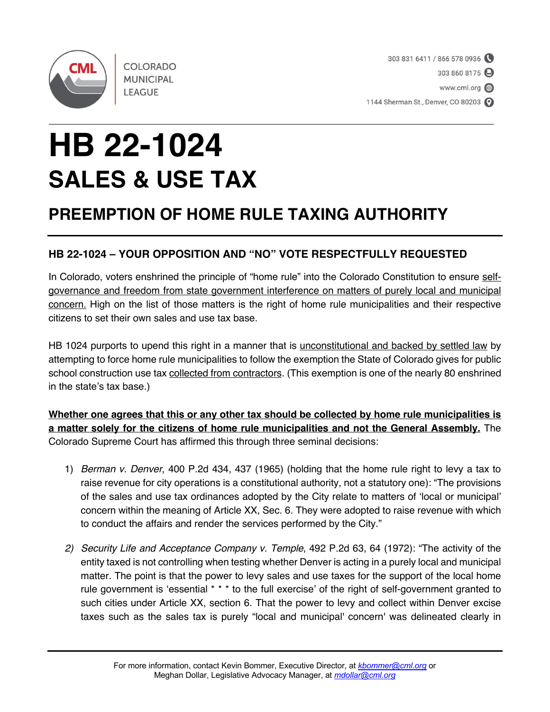

**COLORADO MUNICIPAL LEAGUE** 

1144 Sherman St., Denver, CO 80203

## **HB 22-1024 SALES & USE TAX**

## **PREEMPTION OF HOME RULE TAXING AUTHORITY**

## **HB 22-1024 – YOUR OPPOSITION AND "NO" VOTE RESPECTFULLY REQUESTED**

In Colorado, voters enshrined the principle of "home rule" into the Colorado Constitution to ensure selfgovernance and freedom from state government interference on matters of purely local and municipal concern. High on the list of those matters is the right of home rule municipalities and their respective citizens to set their own sales and use tax base.

HB 1024 purports to upend this right in a manner that is unconstitutional and backed by settled law by attempting to force home rule municipalities to follow the exemption the State of Colorado gives for public school construction use tax collected from contractors. (This exemption is one of the nearly 80 enshrined in the state's tax base.)

**Whether one agrees that this or any other tax should be collected by home rule municipalities is a matter solely for the citizens of home rule municipalities and not the General Assembly.** The Colorado Supreme Court has affirmed this through three seminal decisions:

- 1) *Berman v. Denver*, 400 P.2d 434, 437 (1965) (holding that the home rule right to levy a tax to raise revenue for city operations is a constitutional authority, not a statutory one): "The provisions of the sales and use tax ordinances adopted by the City relate to matters of 'local or municipal' concern within the meaning of Article XX, Sec. 6. They were adopted to raise revenue with which to conduct the affairs and render the services performed by the City."
- *2) Security Life and Acceptance Company v. Temple*, 492 P.2d 63, 64 (1972): "The activity of the entity taxed is not controlling when testing whether Denver is acting in a purely local and municipal matter. The point is that the power to levy sales and use taxes for the support of the local home rule government is 'essential \* \* \* to the full exercise' of the right of self-government granted to such cities under Article XX, section 6. That the power to levy and collect within Denver excise taxes such as the sales tax is purely "local and municipal' concern' was delineated clearly in